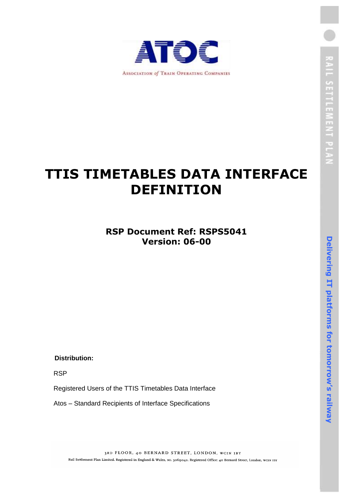

# **TTIS TIMETABLES DATA INTERFACE DEFINITION**

## **RSP Document Ref: RSPS5041 Version: 06-00**

**Distribution:**

RSP

Registered Users of the TTIS Timetables Data Interface

Atos – Standard Recipients of Interface Specifications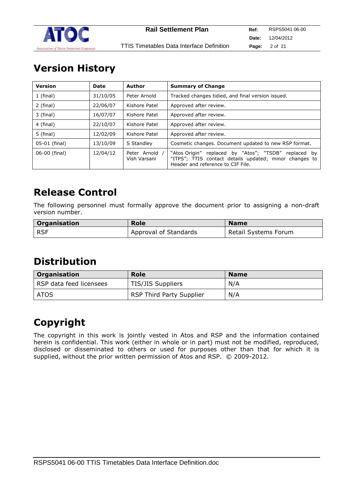

# **Version History**

| <b>Version</b> | Date     | Author                         | <b>Summary of Change</b>                                                                                                                            |
|----------------|----------|--------------------------------|-----------------------------------------------------------------------------------------------------------------------------------------------------|
| $1$ (final)    | 31/10/05 | Peter Arnold                   | Tracked changes tidied, and final version issued.                                                                                                   |
| 2 (final)      | 22/06/07 | Kishore Patel                  | Approved after review.                                                                                                                              |
| 3 (final)      | 16/07/07 | Kishore Patel                  | Approved after review.                                                                                                                              |
| 4 (final)      | 22/10/07 | Kishore Patel                  | Approved after review.                                                                                                                              |
| 5 (final)      | 12/02/09 | Kishore Patel                  | Approved after review.                                                                                                                              |
| 05-01 (final)  | 13/10/09 | S Standley                     | Cosmetic changes. Document updated to new RSP format.                                                                                               |
| 06-00 (final)  | 12/04/12 | Peter Arnold /<br>Vish Varsani | "Atos Origin" replaced by "Atos"; "TSDB" replaced by<br>"ITPS"; TTIS contact details updated; minor changes to<br>Header and reference to CIF File. |

# **Release Control**

The following personnel must formally approve the document prior to assigning a non-draft version number.

| Organisation | <b>Role</b>           | <b>Name</b>          |
|--------------|-----------------------|----------------------|
| l RSF        | Approval of Standards | Retail Systems Forum |

# **Distribution**

| <b>Organisation</b>     | <b>Role</b>                     | <b>Name</b> |
|-------------------------|---------------------------------|-------------|
| RSP data feed licensees | TIS/JIS Suppliers               | N/A         |
| ATOS                    | <b>RSP Third Party Supplier</b> | N/A         |

# **Copyright**

The copyright in this work is jointly vested in Atos and RSP and the information contained herein is confidential. This work (either in whole or in part) must not be modified, reproduced, disclosed or disseminated to others or used for purposes other than that for which it is supplied, without the prior written permission of Atos and RSP. © 2009-2012.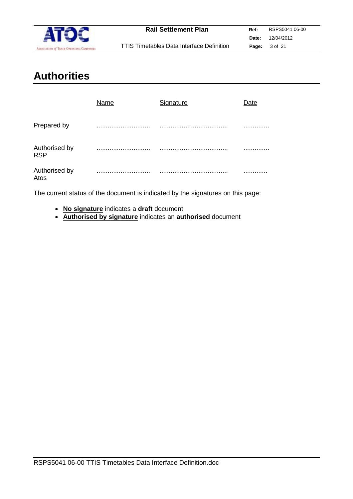

# **Authorities**

|                             | Name  | Signature | )ate |
|-----------------------------|-------|-----------|------|
| Prepared by                 | .<br> |           | .    |
| Authorised by<br><b>RSP</b> | .<br> |           |      |
| Authorised by<br>Atos       | .     |           | .    |

The current status of the document is indicated by the signatures on this page:

- **No signature** indicates a **draft** document
- **Authorised by signature** indicates an **authorised** document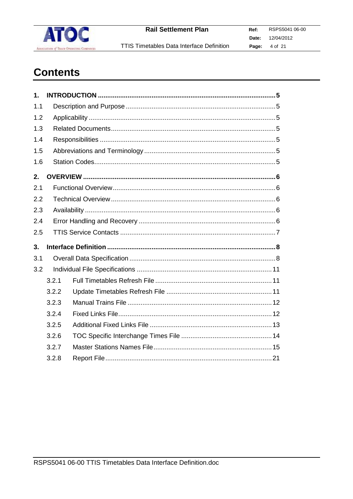

TTIS Timetables Data Interface Definition

# **Contents**

| 1.  |       |  |  |  |
|-----|-------|--|--|--|
| 1.1 |       |  |  |  |
| 1.2 |       |  |  |  |
| 1.3 |       |  |  |  |
| 1.4 |       |  |  |  |
| 1.5 |       |  |  |  |
| 1.6 |       |  |  |  |
| 2.  |       |  |  |  |
| 2.1 |       |  |  |  |
| 2.2 |       |  |  |  |
| 2.3 |       |  |  |  |
| 2.4 |       |  |  |  |
| 2.5 |       |  |  |  |
| 3.  |       |  |  |  |
| 3.1 |       |  |  |  |
| 3.2 |       |  |  |  |
|     | 3.2.1 |  |  |  |
|     | 3.2.2 |  |  |  |
|     | 3.2.3 |  |  |  |
|     | 3.2.4 |  |  |  |
|     | 3.2.5 |  |  |  |
|     | 3.2.6 |  |  |  |
|     | 3.2.7 |  |  |  |
|     | 3.2.8 |  |  |  |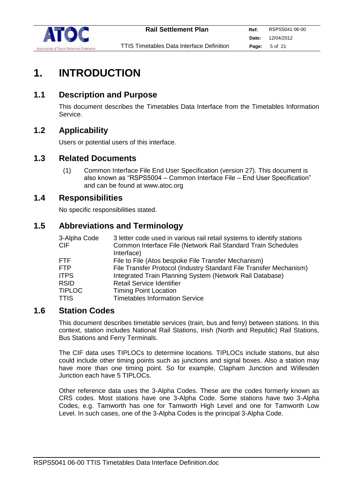

# **1. INTRODUCTION**

## **1.1 Description and Purpose**

This document describes the Timetables Data Interface from the Timetables Information Service.

## **1.2 Applicability**

Users or potential users of this interface.

## **1.3 Related Documents**

(1) Common Interface File End User Specification (version 27). This document is also known as "RSPS5004 – Common Interface File – End User Specification" and can be found at www.atoc.org

## **1.4 Responsibilities**

No specific responsibilities stated.

## **1.5 Abbreviations and Terminology**

| 3-Alpha Code  | 3 letter code used in various rail retail systems to identify stations |
|---------------|------------------------------------------------------------------------|
| CIF.          | Common Interface File (Network Rail Standard Train Schedules           |
|               | Interface)                                                             |
| FTF.          | File to File (Atos bespoke File Transfer Mechanism)                    |
| <b>FTP</b>    | File Transfer Protocol (Industry Standard File Transfer Mechanism)     |
| <b>ITPS</b>   | Integrated Train Planning System (Network Rail Database)               |
| <b>RSID</b>   | <b>Retail Service Identifier</b>                                       |
| <b>TIPLOC</b> | <b>Timing Point Location</b>                                           |
| TTIS          | <b>Timetables Information Service</b>                                  |

### **1.6 Station Codes**

This document describes timetable services (train, bus and ferry) between stations. In this context, station includes National Rail Stations, Irish (North and Republic) Rail Stations, Bus Stations and Ferry Terminals.

The CIF data uses TIPLOCs to determine locations. TIPLOCs include stations, but also could include other timing points such as junctions and signal boxes. Also a station may have more than one timing point. So for example, Clapham Junction and Willesden Junction each have 5 TIPLOCs.

Other reference data uses the 3-Alpha Codes. These are the codes formerly known as CRS codes. Most stations have one 3-Alpha Code. Some stations have two 3-Alpha Codes, e.g. Tamworth has one for Tamworth High Level and one for Tamworth Low Level. In such cases, one of the 3-Alpha Codes is the principal 3-Alpha Code.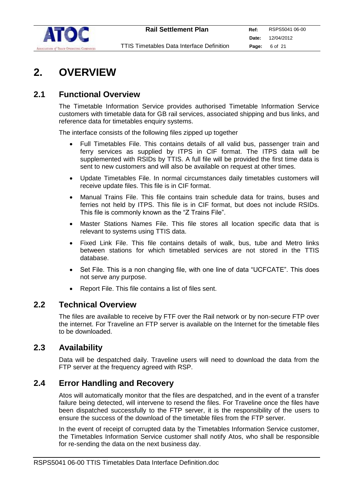

# **2. OVERVIEW**

## **2.1 Functional Overview**

The Timetable Information Service provides authorised Timetable Information Service customers with timetable data for GB rail services, associated shipping and bus links, and reference data for timetables enquiry systems.

The interface consists of the following files zipped up together

- Full Timetables File. This contains details of all valid bus, passenger train and ferry services as supplied by ITPS in CIF format. The ITPS data will be supplemented with RSIDs by TTIS. A full file will be provided the first time data is sent to new customers and will also be available on request at other times.
- Update Timetables File. In normal circumstances daily timetables customers will receive update files. This file is in CIF format.
- Manual Trains File. This file contains train schedule data for trains, buses and ferries not held by ITPS. This file is in CIF format, but does not include RSIDs. This file is commonly known as the "Z Trains File".
- Master Stations Names File. This file stores all location specific data that is relevant to systems using TTIS data.
- Fixed Link File. This file contains details of walk, bus, tube and Metro links between stations for which timetabled services are not stored in the TTIS database.
- Set File. This is a non changing file, with one line of data "UCFCATE". This does not serve any purpose.
- Report File. This file contains a list of files sent.

### **2.2 Technical Overview**

The files are available to receive by FTF over the Rail network or by non-secure FTP over the internet. For Traveline an FTP server is available on the Internet for the timetable files to be downloaded.

## **2.3 Availability**

Data will be despatched daily. Traveline users will need to download the data from the FTP server at the frequency agreed with RSP.

### **2.4 Error Handling and Recovery**

Atos will automatically monitor that the files are despatched, and in the event of a transfer failure being detected, will intervene to resend the files. For Traveline once the files have been dispatched successfully to the FTP server, it is the responsibility of the users to ensure the success of the download of the timetable files from the FTP server.

In the event of receipt of corrupted data by the Timetables Information Service customer, the Timetables Information Service customer shall notify Atos, who shall be responsible for re-sending the data on the next business day.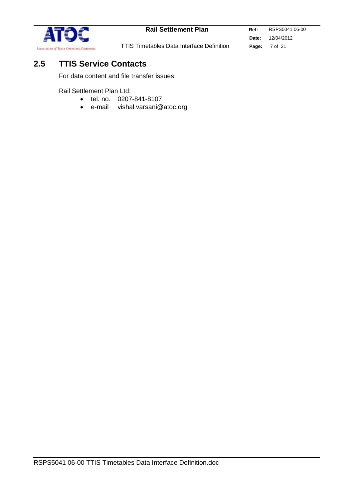

# **2.5 TTIS Service Contacts**

For data content and file transfer issues:

Rail Settlement Plan Ltd:

- tel. no. 0207-841-8107
- e-mail vishal.varsani@atoc.org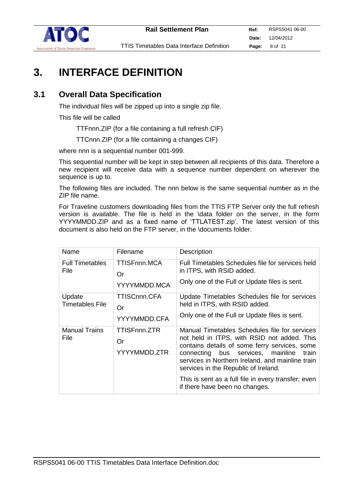

# **3. INTERFACE DEFINITION**

## **3.1 Overall Data Specification**

The individual files will be zipped up into a single zip file.

This file will be called

TTFnnn.ZIP (for a file containing a full refresh CIF)

TTCnnn.ZIP (for a file containing a changes CIF)

where nnn is a sequential number 001-999.

This sequential number will be kept in step between all recipients of this data. Therefore a new recipient will receive data with a sequence number dependent on wherever the sequence is up to.

The following files are included. The nnn below is the same sequential number as in the ZIP file name.

For Traveline customers downloading files from the TTIS FTP Server only the full refresh version is available. The file is held in the \data folder on the server, in the form YYYYMMDD.ZIP and as a fixed name of 'TTLATEST.zip'. The latest version of this document is also held on the FTP server, in the \documents folder.

| Name                                | Filename                                  | Description                                                                                                                                                                                                                                                                                                                                                                      |
|-------------------------------------|-------------------------------------------|----------------------------------------------------------------------------------------------------------------------------------------------------------------------------------------------------------------------------------------------------------------------------------------------------------------------------------------------------------------------------------|
| <b>Full Timetables</b><br>File      | <b>TTISFnnn.MCA</b><br>Or<br>YYYYMMDD.MCA | Full Timetables Schedules file for services held<br>in ITPS, with RSID added.<br>Only one of the Full or Update files is sent.                                                                                                                                                                                                                                                   |
| Update<br><b>Timetables File</b>    | TTISCnnn.CFA<br>Or<br>YYYYMMDD.CFA        | Update Timetables Schedules file for services<br>held in ITPS, with RSID added.<br>Only one of the Full or Update files is sent.                                                                                                                                                                                                                                                 |
| <b>Manual Trains</b><br><b>File</b> | TTISFnnn.ZTR<br>Or<br>YYYYMMDD.ZTR        | Manual Timetables Schedules file for services<br>not held in ITPS, with RSID not added. This<br>contains details of some ferry services, some<br>connecting bus services, mainline<br>train<br>services in Northern Ireland, and mainline train<br>services in the Republic of Ireland.<br>This is sent as a full file in every transfer; even<br>if there have been no changes. |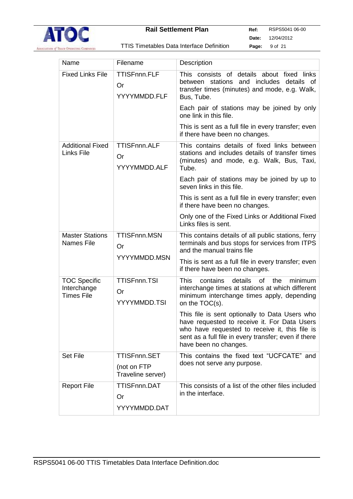

| TTIS Timetables Data Interface Definition |  |  |  |
|-------------------------------------------|--|--|--|
|-------------------------------------------|--|--|--|

|                                                         | <b>TTISFnnn.FLF</b>                                     |                                                                                                                                                                                                                                   |
|---------------------------------------------------------|---------------------------------------------------------|-----------------------------------------------------------------------------------------------------------------------------------------------------------------------------------------------------------------------------------|
| <b>Fixed Links File</b>                                 | Or<br>YYYYMMDD.FLF                                      | This consists of details about fixed links<br>between stations<br>and includes<br>details of<br>transfer times (minutes) and mode, e.g. Walk,<br>Bus, Tube.                                                                       |
|                                                         |                                                         | Each pair of stations may be joined by only<br>one link in this file.                                                                                                                                                             |
|                                                         |                                                         | This is sent as a full file in every transfer; even<br>if there have been no changes.                                                                                                                                             |
| <b>Additional Fixed</b><br><b>Links File</b>            | <b>TTISFnnn.ALF</b><br>Or<br>YYYYMMDD.ALF               | This contains details of fixed links between<br>stations and includes details of transfer times<br>(minutes) and mode, e.g. Walk, Bus, Taxi,<br>Tube.                                                                             |
|                                                         |                                                         | Each pair of stations may be joined by up to<br>seven links in this file.                                                                                                                                                         |
|                                                         |                                                         | This is sent as a full file in every transfer; even<br>if there have been no changes.                                                                                                                                             |
|                                                         |                                                         | Only one of the Fixed Links or Additional Fixed<br>Links files is sent.                                                                                                                                                           |
| <b>Master Stations</b><br><b>Names File</b>             | <b>TTISFnnn.MSN</b><br>Or                               | This contains details of all public stations, ferry<br>terminals and bus stops for services from ITPS<br>and the manual trains file                                                                                               |
|                                                         | YYYYMMDD.MSN                                            | This is sent as a full file in every transfer; even<br>if there have been no changes.                                                                                                                                             |
| <b>TOC Specific</b><br>Interchange<br><b>Times File</b> | <b>TTISFnnn.TSI</b><br>Or<br>YYYYMMDD.TSI               | <b>This</b><br>contains<br>details<br>of l<br>minimum<br>the<br>interchange times at stations at which different<br>minimum interchange times apply, depending<br>on the TOC(s).                                                  |
|                                                         |                                                         | This file is sent optionally to Data Users who<br>have requested to receive it. For Data Users<br>who have requested to receive it, this file is<br>sent as a full file in every transfer; even if there<br>have been no changes. |
| <b>Set File</b>                                         | <b>TTISFnnn.SET</b><br>(not on FTP<br>Traveline server) | This contains the fixed text "UCFCATE" and<br>does not serve any purpose.                                                                                                                                                         |
| <b>Report File</b>                                      | <b>TTISFnnn.DAT</b><br>Or<br>YYYYMMDD.DAT               | This consists of a list of the other files included<br>in the interface.                                                                                                                                                          |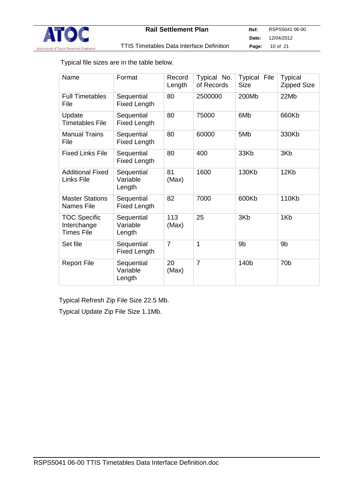

Typical file sizes are in the table below.

| Name                                             | Format                            | Record<br>Length | Typical No.<br>of Records | Typical<br>File<br><b>Size</b> | <b>Typical</b><br><b>Zipped Size</b> |
|--------------------------------------------------|-----------------------------------|------------------|---------------------------|--------------------------------|--------------------------------------|
| <b>Full Timetables</b><br>File                   | Sequential<br>Fixed Length        | 80               | 2500000                   | 200Mb                          | 22Mb                                 |
| Update<br>Timetables File                        | Sequential<br><b>Fixed Length</b> | 80               | 75000                     | 6M <sub>b</sub>                | 660Kb                                |
| <b>Manual Trains</b><br>File                     | Sequential<br><b>Fixed Length</b> | 80               | 60000                     | 5M <sub>b</sub>                | 330Kb                                |
| <b>Fixed Links File</b>                          | Sequential<br><b>Fixed Length</b> | 80               | 400                       | 33Kb                           | 3Kb                                  |
| <b>Additional Fixed</b><br>Links File            | Sequential<br>Variable<br>Length  | 81<br>(Max)      | 1600                      | 130Kb                          | 12Kb                                 |
| <b>Master Stations</b><br>Names File             | Sequential<br><b>Fixed Length</b> | 82               | 7000                      | 600Kb                          | 110Kb                                |
| <b>TOC Specific</b><br>Interchange<br>Times File | Sequential<br>Variable<br>Length  | 113<br>(Max)     | 25                        | 3Kb                            | 1K <sub>b</sub>                      |
| Set file                                         | Sequential<br><b>Fixed Length</b> | $\overline{7}$   | 1                         | 9b                             | 9b                                   |
| <b>Report File</b>                               | Sequential<br>Variable<br>Length  | 20<br>(Max)      | $\overline{7}$            | 140b                           | 70 <sub>b</sub>                      |

Typical Refresh Zip File Size 22.5 Mb.

Typical Update Zip File Size 1.1Mb.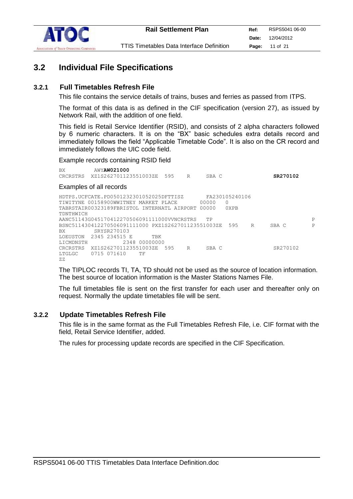

## **3.2 Individual File Specifications**

#### **3.2.1 Full Timetables Refresh File**

This file contains the service details of trains, buses and ferries as passed from ITPS.

The format of this data is as defined in the CIF specification (version 27), as issued by Network Rail, with the addition of one field.

This field is Retail Service Identifier (RSID), and consists of 2 alpha characters followed by 6 numeric characters. It is on the "BX" basic schedules extra details record and immediately follows the field "Applicable Timetable Code". It is also on the CR record and immediately follows the UIC code field.

#### Example records containing RSID field

BX AWY**AW021000** CRCRSTRS XZ1S262701123551003ZE 595 R SBA C **SR270102**

#### Examples of all records

HDTPS.UCFCATE.PD0501232301052025DFTTISZ FA230105240106 TIWITYNE 00158900WWITNEY MARKET PLACE 00000 0<br>TABRSTAIR00323189FBRISTOL INTERNATL AIRPORT 00000 0XPB TABRSTAIR00323189FBRISTOL INTERNATL AIRPORT 00000 TDNTHWICH AANC51143G045170412270506091111000VVNCRSTRS TP<br>BSNC511430412270506091111000 PXZ1S262701123551003ZE 595 R SBAC P BSNC511430412270506091111000 PXZ1S262701123551003ZE 595 R BX SRYSR270103 LOEUSTON 2345 234515 E TBK<br>LICMDNSTH 2348 0000000 2348 00000000 CRCRSTRS XZ1S262701123551003ZE 595 R SBA C SR270102 LTGLGC 0715 071610 TF ZZ

The TIPLOC records TI, TA, TD should not be used as the source of location information. The best source of location information is the Master Stations Names File.

The full timetables file is sent on the first transfer for each user and thereafter only on request. Normally the update timetables file will be sent.

#### **3.2.2 Update Timetables Refresh File**

This file is in the same format as the Full Timetables Refresh File, i.e. CIF format with the field, Retail Service Identifier, added.

The rules for processing update records are specified in the CIF Specification.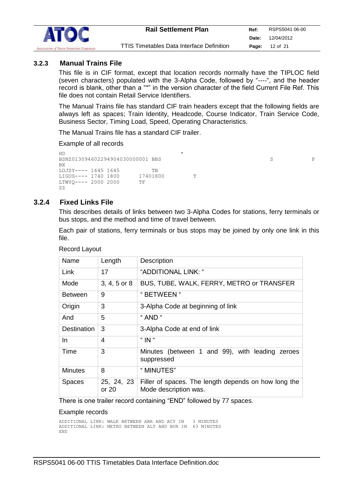

#### **3.2.3 Manual Trains File**

This file is in CIF format, except that location records normally have the TIPLOC field (seven characters) populated with the 3-Alpha Code, followed by "----", and the header record is blank, other than a "\*" in the version character of the field Current File Ref. This file does not contain Retail Service Identifiers.

The Manual Trains file has standard CIF train headers except that the following fields are always left as spaces; Train Identity, Headcode, Course Indicator, Train Service Code, Business Sector, Timing Load, Speed, Operating Characteristics.

The Manual Trains file has a standard CIF trailer.

Example of all records

 $HD$  \* BSNZ013094602294904030000001 BBS S P BX LOJSY---- 1645 1645<br>LIGUS---- 1740 1800 17401800 LIGUS---- 1740 1800 17401800 T<br>LTWYO---- 2000 2000 TF  $LTWYQ---2000 2000$ ZZ

#### **3.2.4 Fixed Links File**

This describes details of links between two 3-Alpha Codes for stations, ferry terminals or bus stops, and the method and time of travel between.

Each pair of stations, ferry terminals or bus stops may be joined by only one link in this file.

| Name               | Length              | Description                                                                   |
|--------------------|---------------------|-------------------------------------------------------------------------------|
| Link               | 17                  | "ADDITIONAL LINK: "                                                           |
| Mode               | $3, 4, 5$ or $8$    | BUS, TUBE, WALK, FERRY, METRO or TRANSFER                                     |
| <b>Between</b>     | 9                   | " BETWEEN "                                                                   |
| Origin             | 3                   | 3-Alpha Code at beginning of link                                             |
| And                | 5                   | " AND "                                                                       |
| <b>Destination</b> | 3                   | 3-Alpha Code at end of link                                                   |
| In.                | 4                   | " IN "                                                                        |
| Time               | 3                   | Minutes (between 1 and 99), with leading<br>zeroes<br>suppressed              |
| <b>Minutes</b>     | 8                   | " MINUTES"                                                                    |
| <b>Spaces</b>      | 25, 24, 23<br>or 20 | Filler of spaces. The length depends on how long the<br>Mode description was. |

Record Layout

There is one trailer record containing "END" followed by 77 spaces.

#### Example records

ADDITIONAL LINK: WALK BETWEEN ABR AND ACY IN 3 MINUTES ADDITIONAL LINK: METRO BETWEEN ALT AND BUR IN 63 MINUTES END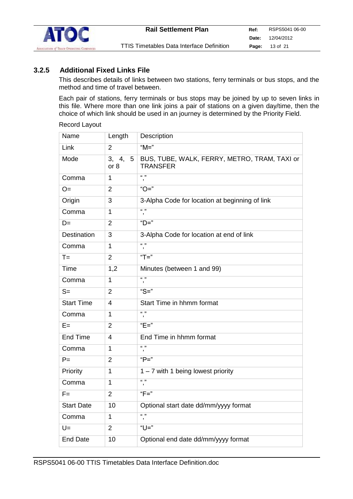

#### **3.2.5 Additional Fixed Links File**

This describes details of links between two stations, ferry terminals or bus stops, and the method and time of travel between.

Each pair of stations, ferry terminals or bus stops may be joined by up to seven links in this file. Where more than one link joins a pair of stations on a given day/time, then the choice of which link should be used in an journey is determined by the Priority Field.

#### Record Layout

| Name              | Length            | Description                                                     |
|-------------------|-------------------|-----------------------------------------------------------------|
| Link              | $\overline{2}$    | " $M =$ "                                                       |
| Mode              | 3, 4, 5<br>or $8$ | BUS, TUBE, WALK, FERRY, METRO, TRAM, TAXI or<br><b>TRANSFER</b> |
| Comma             | 1                 | $(6 - 33)$<br>$\,$                                              |
| $O=$              | $\overline{2}$    | " $O =$ "                                                       |
| Origin            | 3                 | 3-Alpha Code for location at beginning of link                  |
| Comma             | 1                 | (1, 3)<br>$\pmb{\mathfrak{z}}$                                  |
| $D=$              | $\overline{2}$    | "D="                                                            |
| Destination       | 3                 | 3-Alpha Code for location at end of link                        |
| Comma             | 1                 | $(6 - 33)$<br>$\,$                                              |
| $T =$             | $\overline{2}$    | "T="                                                            |
| Time              | 1,2               | Minutes (between 1 and 99)                                      |
| Comma             | 1                 | (1, 3)<br>$\pmb{\cdot}$                                         |
| $S=$              | $\overline{2}$    | " $S =$ "                                                       |
| <b>Start Time</b> | 4                 | Start Time in hhmm format                                       |
| Comma             | 1                 | $(6 - 33)$<br>$\overline{\phantom{a}}$                          |
| $E =$             | $\overline{2}$    | "E="                                                            |
| End Time          | 4                 | End Time in hhmm format                                         |
| Comma             | 1                 | (1, 3)<br>$\pmb{\mathfrak{z}}$                                  |
| $P =$             | $\overline{2}$    | " $P =$ "                                                       |
| Priority          | 1                 | 1 - 7 with 1 being lowest priority                              |
| Comma             | 1                 | $(6 - 33)$<br>$\overline{\phantom{a}}$                          |
| $F =$             | $\overline{2}$    | " $F =$ "                                                       |
| <b>Start Date</b> | 10                | Optional start date dd/mm/yyyy format                           |
| Comma             | 1                 | (1, 3)<br>,                                                     |
| $U =$             | $\overline{2}$    | "U="                                                            |
| <b>End Date</b>   | 10                | Optional end date dd/mm/yyyy format                             |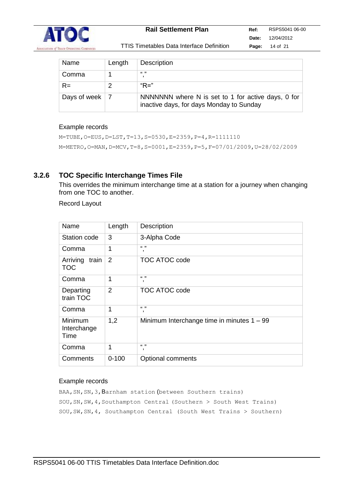

| Name         | Length | <b>Description</b>                                                                             |
|--------------|--------|------------------------------------------------------------------------------------------------|
| Comma        |        | (1, 3)                                                                                         |
| $R =$        |        | "R="                                                                                           |
| Days of week |        | NNNNNNN where N is set to 1 for active days, 0 for<br>inactive days, for days Monday to Sunday |

#### Example records

```
M=TUBE,O=EUS,D=LST,T=13,S=0530,E=2359,P=4,R=1111110
M=METRO,O=MAN,D=MCV,T=8,S=0001,E=2359,P=5,F=07/01/2009,U=28/02/2009
```
#### **3.2.6 TOC Specific Interchange Times File**

This overrides the minimum interchange time at a station for a journey when changing from one TOC to another.

Record Layout

| Name                            | Length         | Description                                  |
|---------------------------------|----------------|----------------------------------------------|
| Station code                    | 3              | 3-Alpha Code                                 |
| Comma                           | 1              | (6, 3)<br>,                                  |
| Arriving<br>train<br><b>TOC</b> | $\overline{2}$ | <b>TOC ATOC code</b>                         |
| Comma                           | 1              | $(6 - 33)$<br>,                              |
| Departing<br>train TOC          | 2              | <b>TOC ATOC code</b>                         |
| Comma                           | 1              | (6, 3)<br>,                                  |
| Minimum<br>Interchange<br>Time  | 1,2            | Minimum Interchange time in minutes $1 - 99$ |
| Comma                           | 1              | (6, 3)<br>,                                  |
| Comments                        | $0 - 100$      | Optional comments                            |

#### Example records

BAA, SN, SN, 3, Barnham station (between Southern trains) SOU,SN,SW,4,Southampton Central (Southern > South West Trains) SOU,SW,SN,4, Southampton Central (South West Trains > Southern)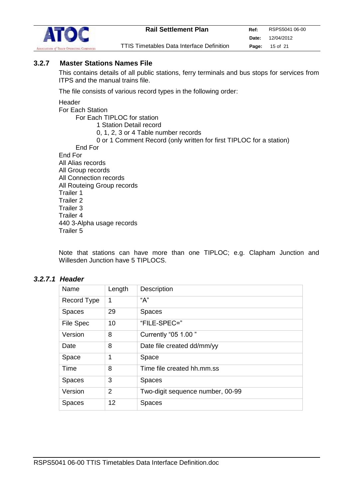

### **3.2.7 Master Stations Names File**

This contains details of all public stations, ferry terminals and bus stops for services from ITPS and the manual trains file.

The file consists of various record types in the following order:

**Header** 

For Each Station For Each TIPLOC for station 1 Station Detail record 0, 1, 2, 3 or 4 Table number records 0 or 1 Comment Record (only written for first TIPLOC for a station) End For End For All Alias records All Group records All Connection records All Routeing Group records Trailer 1 Trailer 2 Trailer 3 Trailer 4 440 3-Alpha usage records Trailer 5

Note that stations can have more than one TIPLOC; e.g. Clapham Junction and Willesden Junction have 5 TIPLOCS.

#### *3.2.7.1 Header*

| Name             | Length         | <b>Description</b>               |
|------------------|----------------|----------------------------------|
| Record Type      | 1              | "А"                              |
| <b>Spaces</b>    | 29             | <b>Spaces</b>                    |
| <b>File Spec</b> | 10             | "FILE-SPEC="                     |
| Version          | 8              | Currently "05 1.00"              |
| Date             | 8              | Date file created dd/mm/yy       |
| Space            | 1              | Space                            |
| Time             | 8              | Time file created hh.mm.ss       |
| <b>Spaces</b>    | 3              | <b>Spaces</b>                    |
| Version          | $\overline{2}$ | Two-digit sequence number, 00-99 |
| <b>Spaces</b>    | 12             | <b>Spaces</b>                    |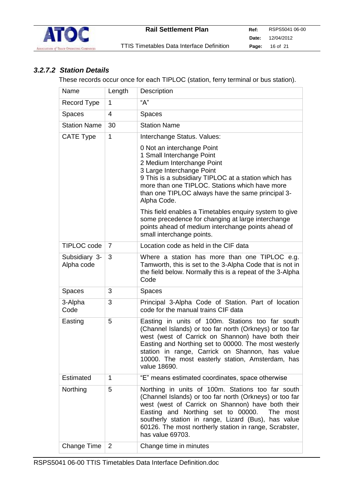

### *3.2.7.2 Station Details*

These records occur once for each TIPLOC (station, ferry terminal or bus station).

| Name                        | Length         | Description                                                                                                                                                                                                                                                                                                                                                                                                                                                                                          |  |
|-----------------------------|----------------|------------------------------------------------------------------------------------------------------------------------------------------------------------------------------------------------------------------------------------------------------------------------------------------------------------------------------------------------------------------------------------------------------------------------------------------------------------------------------------------------------|--|
| Record Type                 | 1              | "A"                                                                                                                                                                                                                                                                                                                                                                                                                                                                                                  |  |
| <b>Spaces</b>               | 4              | Spaces                                                                                                                                                                                                                                                                                                                                                                                                                                                                                               |  |
| <b>Station Name</b>         | 30             | <b>Station Name</b>                                                                                                                                                                                                                                                                                                                                                                                                                                                                                  |  |
| <b>CATE Type</b>            | 1              | Interchange Status. Values:<br>0 Not an interchange Point<br>1 Small Interchange Point<br>2 Medium Interchange Point<br>3 Large Interchange Point<br>9 This is a subsidiary TIPLOC at a station which has<br>more than one TIPLOC. Stations which have more<br>than one TIPLOC always have the same principal 3-<br>Alpha Code.<br>This field enables a Timetables enquiry system to give<br>some precedence for changing at large interchange<br>points ahead of medium interchange points ahead of |  |
| <b>TIPLOC</b> code          | $\overline{7}$ | small interchange points.<br>Location code as held in the CIF data                                                                                                                                                                                                                                                                                                                                                                                                                                   |  |
|                             | 3              |                                                                                                                                                                                                                                                                                                                                                                                                                                                                                                      |  |
| Subsidiary 3-<br>Alpha code |                | Where a station has more than one TIPLOC e.g.<br>Tamworth, this is set to the 3-Alpha Code that is not in<br>the field below. Normally this is a repeat of the 3-Alpha<br>Code                                                                                                                                                                                                                                                                                                                       |  |
| <b>Spaces</b>               | 3              | <b>Spaces</b>                                                                                                                                                                                                                                                                                                                                                                                                                                                                                        |  |
| 3-Alpha<br>Code             | 3              | Principal 3-Alpha Code of Station. Part of location<br>code for the manual trains CIF data                                                                                                                                                                                                                                                                                                                                                                                                           |  |
| Easting                     | 5              | Easting in units of 100m. Stations too far south<br>(Channel Islands) or too far north (Orkneys) or too far<br>west (west of Carrick on Shannon) have both their<br>Easting and Northing set to 00000. The most westerly<br>station in range, Carrick on Shannon, has value<br>10000. The most easterly station, Amsterdam, has<br>value 18690.                                                                                                                                                      |  |
| Estimated                   | 1              | "E" means estimated coordinates, space otherwise                                                                                                                                                                                                                                                                                                                                                                                                                                                     |  |
| Northing                    | 5              | Northing in units of 100m. Stations too far south<br>(Channel Islands) or too far north (Orkneys) or too far<br>west (west of Carrick on Shannon) have both their<br>Easting and Northing set to 00000.<br>The most<br>southerly station in range, Lizard (Bus), has value<br>60126. The most northerly station in range, Scrabster,<br>has value 69703.                                                                                                                                             |  |
| <b>Change Time</b>          | 2              | Change time in minutes                                                                                                                                                                                                                                                                                                                                                                                                                                                                               |  |
|                             |                |                                                                                                                                                                                                                                                                                                                                                                                                                                                                                                      |  |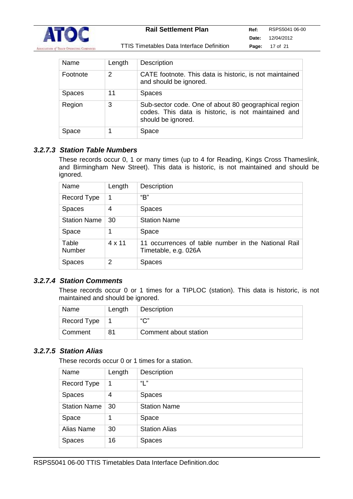

| Name          | Length | <b>Description</b>                                                                                                                |
|---------------|--------|-----------------------------------------------------------------------------------------------------------------------------------|
| Footnote      | 2      | CATE footnote. This data is historic, is not maintained<br>and should be ignored.                                                 |
| <b>Spaces</b> | 11     | <b>Spaces</b>                                                                                                                     |
| Region        | 3      | Sub-sector code. One of about 80 geographical region<br>codes. This data is historic, is not maintained and<br>should be ignored. |
| Space         |        | Space                                                                                                                             |

#### *3.2.7.3 Station Table Numbers*

These records occur 0, 1 or many times (up to 4 for Reading, Kings Cross Thameslink, and Birmingham New Street). This data is historic, is not maintained and should be ignored.

| Name                | Length | Description                                                                 |
|---------------------|--------|-----------------------------------------------------------------------------|
| Record Type         | 1      | "В"                                                                         |
| <b>Spaces</b>       | 4      | <b>Spaces</b>                                                               |
| <b>Station Name</b> | 30     | <b>Station Name</b>                                                         |
| Space               | 1      | Space                                                                       |
| Table<br>Number     | 4 x 11 | 11 occurrences of table number in the National Rail<br>Timetable, e.g. 026A |
| Spaces              | 2      | <b>Spaces</b>                                                               |

#### *3.2.7.4 Station Comments*

These records occur 0 or 1 times for a TIPLOC (station). This data is historic, is not maintained and should be ignored.

| Name        | Length | Description           |
|-------------|--------|-----------------------|
| Record Type |        | $\sum$                |
| Comment     | 81     | Comment about station |

#### *3.2.7.5 Station Alias*

These records occur 0 or 1 times for a station.

| Name                | Length | <b>Description</b>   |
|---------------------|--------|----------------------|
| Record Type         | 1      | "L"                  |
| <b>Spaces</b>       | 4      | <b>Spaces</b>        |
| <b>Station Name</b> | 30     | <b>Station Name</b>  |
| Space               |        | Space                |
| Alias Name          | 30     | <b>Station Alias</b> |
| <b>Spaces</b>       | 16     | <b>Spaces</b>        |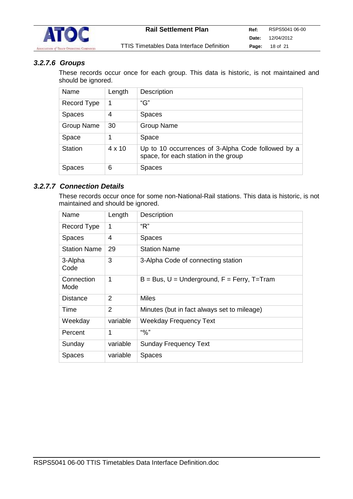

## *3.2.7.6 Groups*

These records occur once for each group. This data is historic, is not maintained and should be ignored.

| Name              | Length        | <b>Description</b>                                                                         |
|-------------------|---------------|--------------------------------------------------------------------------------------------|
| Record Type       |               | "G"                                                                                        |
| <b>Spaces</b>     | 4             | <b>Spaces</b>                                                                              |
| <b>Group Name</b> | 30            | <b>Group Name</b>                                                                          |
| Space             |               | Space                                                                                      |
| <b>Station</b>    | $4 \times 10$ | Up to 10 occurrences of 3-Alpha Code followed by a<br>space, for each station in the group |
| <b>Spaces</b>     | 6             | <b>Spaces</b>                                                                              |

#### *3.2.7.7 Connection Details*

These records occur once for some non-National-Rail stations. This data is historic, is not maintained and should be ignored.

| Name                | Length         | Description                                     |
|---------------------|----------------|-------------------------------------------------|
| Record Type         | 1              | " $R$ "                                         |
| <b>Spaces</b>       | 4              | <b>Spaces</b>                                   |
| <b>Station Name</b> | 29             | <b>Station Name</b>                             |
| 3-Alpha<br>Code     | 3              | 3-Alpha Code of connecting station              |
| Connection<br>Mode  | 1              | $B = Bus, U = Underground, F = Ferry, T = Tran$ |
| Distance            | 2              | Miles                                           |
| Time                | $\overline{2}$ | Minutes (but in fact always set to mileage)     |
| Weekday             | variable       | <b>Weekday Frequency Text</b>                   |
| Percent             | 1              | "9'                                             |
| Sunday              | variable       | <b>Sunday Frequency Text</b>                    |
| Spaces              | variable       | <b>Spaces</b>                                   |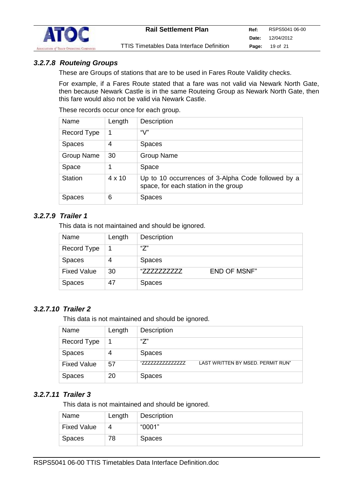

#### *3.2.7.8 Routeing Groups*

These are Groups of stations that are to be used in Fares Route Validity checks.

For example, if a Fares Route stated that a fare was not valid via Newark North Gate, then because Newark Castle is in the same Routeing Group as Newark North Gate, then this fare would also not be valid via Newark Castle.

These records occur once for each group.

| Name              | Length        | Description                                                                                |
|-------------------|---------------|--------------------------------------------------------------------------------------------|
| Record Type       |               | "V"                                                                                        |
| <b>Spaces</b>     | 4             | <b>Spaces</b>                                                                              |
| <b>Group Name</b> | 30            | <b>Group Name</b>                                                                          |
| Space             |               | Space                                                                                      |
| <b>Station</b>    | $4 \times 10$ | Up to 10 occurrences of 3-Alpha Code followed by a<br>space, for each station in the group |
| Spaces            | 6             | <b>Spaces</b>                                                                              |

#### *3.2.7.9 Trailer 1*

This data is not maintained and should be ignored.

| Name               | Length | <b>Description</b> |                     |
|--------------------|--------|--------------------|---------------------|
| Record Type        |        | "7"                |                     |
| <b>Spaces</b>      | 4      | <b>Spaces</b>      |                     |
| <b>Fixed Value</b> | 30     | "77777777777       | <b>END OF MSNF"</b> |
| <b>Spaces</b>      | 47     | <b>Spaces</b>      |                     |

#### *3.2.7.10 Trailer 2*

This data is not maintained and should be ignored.

| Name               | Length | <b>Description</b>                                    |
|--------------------|--------|-------------------------------------------------------|
| Record Type        |        | "7"                                                   |
| <b>Spaces</b>      | 4      | <b>Spaces</b>                                         |
| <b>Fixed Value</b> | 57     | LAST WRITTEN BY MSED. PERMIT RUN"<br>"777777777777777 |
| <b>Spaces</b>      | 20     | <b>Spaces</b>                                         |

#### *3.2.7.11 Trailer 3*

This data is not maintained and should be ignored.

| Name               | Length | Description   |
|--------------------|--------|---------------|
| <b>Fixed Value</b> | 4      | "0001"        |
| Spaces             | 78     | <b>Spaces</b> |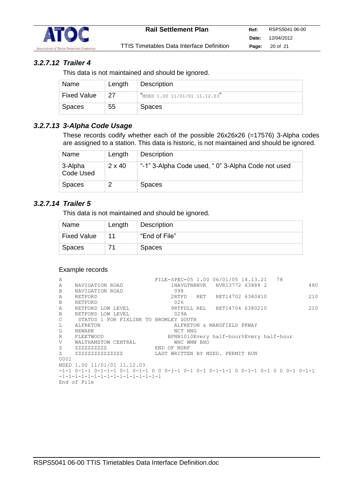

## *3.2.7.12 Trailer 4*

This data is not maintained and should be ignored.

| Name               | Length | Description                   |
|--------------------|--------|-------------------------------|
| <b>Fixed Value</b> | 27     | "MSED 1.00 11/01/01 11.12.03" |
| Spaces             | 55     | <b>Spaces</b>                 |

## *3.2.7.13 3-Alpha Code Usage*

These records codify whether each of the possible 26x26x26 (=17576) 3-Alpha codes are assigned to a station. This data is historic, is not maintained and should be ignored.

| Name                 | Length        | <b>Description</b>                                |
|----------------------|---------------|---------------------------------------------------|
| 3-Alpha<br>Code Used | $2 \times 40$ | "-1" 3-Alpha Code used, "0" 3-Alpha Code not used |
| Spaces               |               | <b>Spaces</b>                                     |

### *3.2.7.14 Trailer 5*

This data is not maintained and should be ignored.

| Name               | Length | Description   |
|--------------------|--------|---------------|
| <b>Fixed Value</b> | 11     | "End of File" |
| Spaces             |        | <b>Spaces</b> |

#### Example records

| A    |                                       |             |             | FILE-SPEC=05 1.00 06/01/05 14.13.21 78  |  |     |
|------|---------------------------------------|-------------|-------------|-----------------------------------------|--|-----|
| Α    | NAVIGATION ROAD                       |             |             | 1NAVGTNRNVR NVR13772 63888 2            |  | 480 |
| B    | NAVIGATION ROAD                       |             | 098         |                                         |  |     |
| A    | RETFORD                               |             | 2RTFD       | RET RET14702 6380410                    |  | 210 |
| B    | RETFORD                               |             | 026         |                                         |  |     |
| Α    | RETFORD LOW LEVEL                     |             |             | 9RTFDLL REL RET14704 6380210            |  | 210 |
| B    | RETFORD LOW LEVEL                     |             | 029A        |                                         |  |     |
| C    | STATUS 1 FOR FIXLINK TO BROMLEY SOUTH |             |             |                                         |  |     |
| L    | ALFRETON                              |             |             | ALFRETON & MANSFIELD PKWAY              |  |     |
| G    | NEWARK                                |             | NCT NNG     |                                         |  |     |
| R    | FLEETWOOD                             |             |             | BPNB1010Every half-hour%Every half-hour |  |     |
| V    | WALTHAMSTOW CENTRAL                   |             | WHC WMW BHO |                                         |  |     |
| Z    | 2222222222                            | END OF MSNF |             |                                         |  |     |
|      | 2 2222222222222222                    |             |             | LAST WRITTEN BY MSED. PERMIT RUN        |  |     |
| 0001 |                                       |             |             |                                         |  |     |
|      | MSED 1.00 11/01/01 11.12.03           |             |             |                                         |  |     |
|      |                                       |             |             |                                         |  |     |
|      | $-1-1-1-1-1-1-1-1-1-1-1-1-1-1-1-1-1$  |             |             |                                         |  |     |
|      | End of File                           |             |             |                                         |  |     |